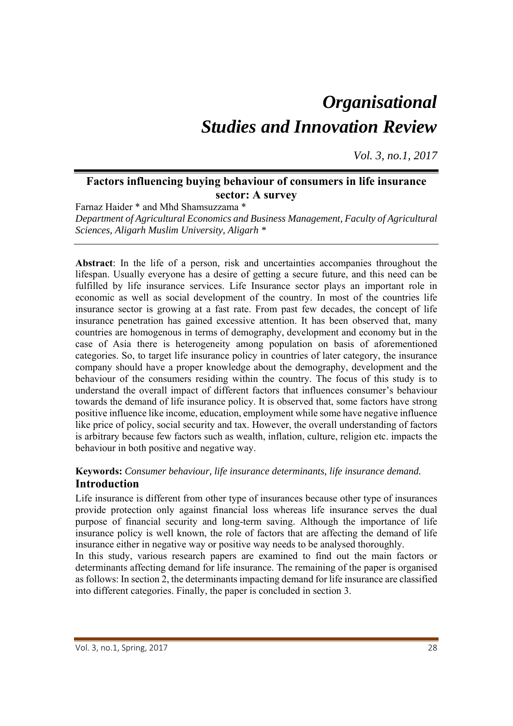# *Organisational Studies and Innovation Review*

*Vol. 3, no.1, 2017*

# **Factors influencing buying behaviour of consumers in life insurance sector: A survey**

Farnaz Haider \* and Mhd Shamsuzzama \* *Department of Agricultural Economics and Business Management, Faculty of Agricultural Sciences, Aligarh Muslim University, Aligarh \** 

**Abstract**: In the life of a person, risk and uncertainties accompanies throughout the lifespan. Usually everyone has a desire of getting a secure future, and this need can be fulfilled by life insurance services. Life Insurance sector plays an important role in economic as well as social development of the country. In most of the countries life insurance sector is growing at a fast rate. From past few decades, the concept of life insurance penetration has gained excessive attention. It has been observed that, many countries are homogenous in terms of demography, development and economy but in the case of Asia there is heterogeneity among population on basis of aforementioned categories. So, to target life insurance policy in countries of later category, the insurance company should have a proper knowledge about the demography, development and the behaviour of the consumers residing within the country. The focus of this study is to understand the overall impact of different factors that influences consumer's behaviour towards the demand of life insurance policy. It is observed that, some factors have strong positive influence like income, education, employment while some have negative influence like price of policy, social security and tax. However, the overall understanding of factors is arbitrary because few factors such as wealth, inflation, culture, religion etc. impacts the behaviour in both positive and negative way.

# **Keywords:** *Consumer behaviour, life insurance determinants, life insurance demand.*  **Introduction**

Life insurance is different from other type of insurances because other type of insurances provide protection only against financial loss whereas life insurance serves the dual purpose of financial security and long-term saving. Although the importance of life insurance policy is well known, the role of factors that are affecting the demand of life insurance either in negative way or positive way needs to be analysed thoroughly.

In this study, various research papers are examined to find out the main factors or determinants affecting demand for life insurance. The remaining of the paper is organised as follows: In section 2, the determinants impacting demand for life insurance are classified into different categories. Finally, the paper is concluded in section 3.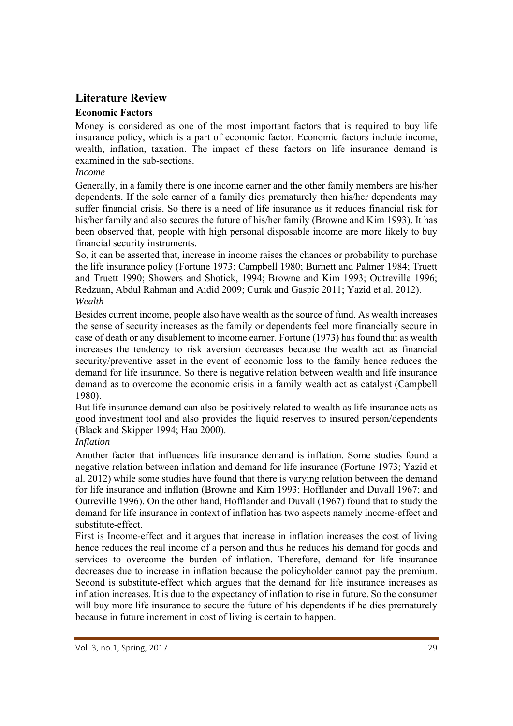# **Literature Review**

## **Economic Factors**

Money is considered as one of the most important factors that is required to buy life insurance policy, which is a part of economic factor. Economic factors include income, wealth, inflation, taxation. The impact of these factors on life insurance demand is examined in the sub-sections.

# *Income*

Generally, in a family there is one income earner and the other family members are his/her dependents. If the sole earner of a family dies prematurely then his/her dependents may suffer financial crisis. So there is a need of life insurance as it reduces financial risk for his/her family and also secures the future of his/her family (Browne and Kim 1993). It has been observed that, people with high personal disposable income are more likely to buy financial security instruments.

So, it can be asserted that, increase in income raises the chances or probability to purchase the life insurance policy (Fortune 1973; Campbell 1980; Burnett and Palmer 1984; Truett and Truett 1990; Showers and Shotick, 1994; Browne and Kim 1993; Outreville 1996; Redzuan, Abdul Rahman and Aidid 2009; Curak and Gaspic 2011; Yazid et al. 2012). *Wealth* 

Besides current income, people also have wealth as the source of fund. As wealth increases the sense of security increases as the family or dependents feel more financially secure in case of death or any disablement to income earner. Fortune (1973) has found that as wealth increases the tendency to risk aversion decreases because the wealth act as financial security/preventive asset in the event of economic loss to the family hence reduces the demand for life insurance. So there is negative relation between wealth and life insurance demand as to overcome the economic crisis in a family wealth act as catalyst (Campbell 1980).

But life insurance demand can also be positively related to wealth as life insurance acts as good investment tool and also provides the liquid reserves to insured person/dependents (Black and Skipper 1994; Hau 2000).

## *Inflation*

Another factor that influences life insurance demand is inflation. Some studies found a negative relation between inflation and demand for life insurance (Fortune 1973; Yazid et al. 2012) while some studies have found that there is varying relation between the demand for life insurance and inflation (Browne and Kim 1993; Hofflander and Duvall 1967; and Outreville 1996). On the other hand, Hofflander and Duvall (1967) found that to study the demand for life insurance in context of inflation has two aspects namely income-effect and substitute-effect.

First is Income-effect and it argues that increase in inflation increases the cost of living hence reduces the real income of a person and thus he reduces his demand for goods and services to overcome the burden of inflation. Therefore, demand for life insurance decreases due to increase in inflation because the policyholder cannot pay the premium. Second is substitute-effect which argues that the demand for life insurance increases as inflation increases. It is due to the expectancy of inflation to rise in future. So the consumer will buy more life insurance to secure the future of his dependents if he dies prematurely because in future increment in cost of living is certain to happen.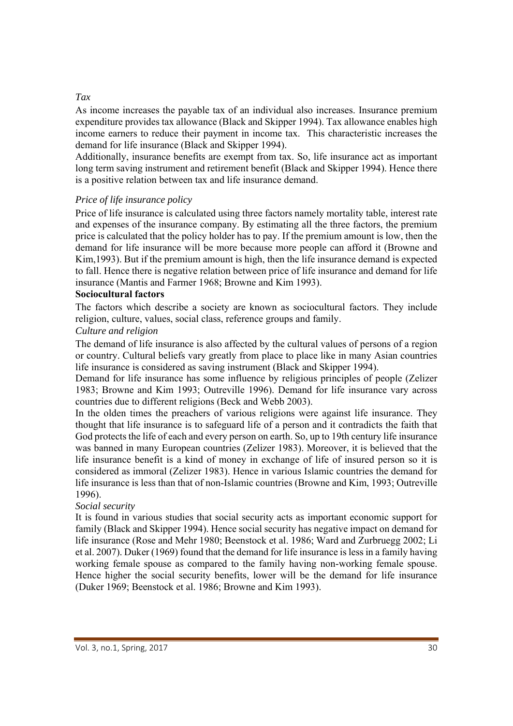#### *Tax*

As income increases the payable tax of an individual also increases. Insurance premium expenditure provides tax allowance (Black and Skipper 1994). Tax allowance enables high income earners to reduce their payment in income tax. This characteristic increases the demand for life insurance (Black and Skipper 1994).

Additionally, insurance benefits are exempt from tax. So, life insurance act as important long term saving instrument and retirement benefit (Black and Skipper 1994). Hence there is a positive relation between tax and life insurance demand.

#### *Price of life insurance policy*

Price of life insurance is calculated using three factors namely mortality table, interest rate and expenses of the insurance company. By estimating all the three factors, the premium price is calculated that the policy holder has to pay. If the premium amount is low, then the demand for life insurance will be more because more people can afford it (Browne and Kim,1993). But if the premium amount is high, then the life insurance demand is expected to fall. Hence there is negative relation between price of life insurance and demand for life insurance (Mantis and Farmer 1968; Browne and Kim 1993).

#### **Sociocultural factors**

The factors which describe a society are known as sociocultural factors. They include religion, culture, values, social class, reference groups and family.

#### *Culture and religion*

The demand of life insurance is also affected by the cultural values of persons of a region or country. Cultural beliefs vary greatly from place to place like in many Asian countries life insurance is considered as saving instrument (Black and Skipper 1994).

Demand for life insurance has some influence by religious principles of people (Zelizer 1983; Browne and Kim 1993; Outreville 1996). Demand for life insurance vary across countries due to different religions (Beck and Webb 2003).

In the olden times the preachers of various religions were against life insurance. They thought that life insurance is to safeguard life of a person and it contradicts the faith that God protects the life of each and every person on earth. So, up to 19th century life insurance was banned in many European countries (Zelizer 1983). Moreover, it is believed that the life insurance benefit is a kind of money in exchange of life of insured person so it is considered as immoral (Zelizer 1983). Hence in various Islamic countries the demand for life insurance is less than that of non-Islamic countries (Browne and Kim, 1993; Outreville 1996).

## *Social security*

It is found in various studies that social security acts as important economic support for family (Black and Skipper 1994). Hence social security has negative impact on demand for life insurance (Rose and Mehr 1980; Beenstock et al. 1986; Ward and Zurbruegg 2002; Li et al. 2007). Duker (1969) found that the demand for life insurance is less in a family having working female spouse as compared to the family having non-working female spouse. Hence higher the social security benefits, lower will be the demand for life insurance (Duker 1969; Beenstock et al. 1986; Browne and Kim 1993).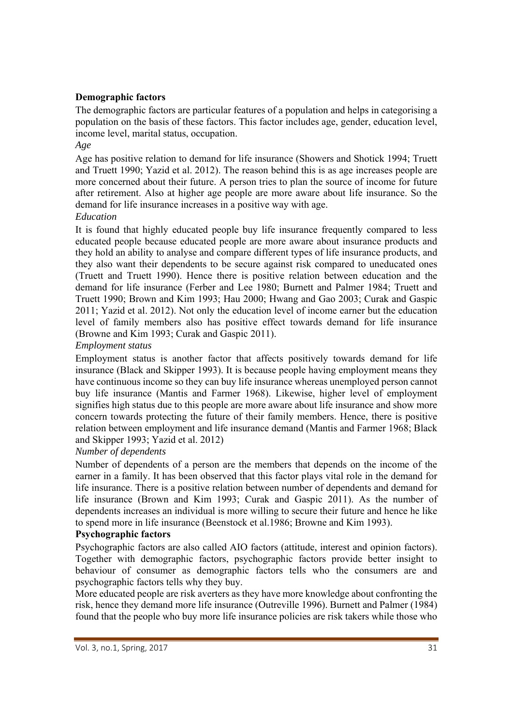### **Demographic factors**

The demographic factors are particular features of a population and helps in categorising a population on the basis of these factors. This factor includes age, gender, education level, income level, marital status, occupation.

*Age* 

Age has positive relation to demand for life insurance (Showers and Shotick 1994; Truett and Truett 1990; Yazid et al. 2012). The reason behind this is as age increases people are more concerned about their future. A person tries to plan the source of income for future after retirement. Also at higher age people are more aware about life insurance. So the demand for life insurance increases in a positive way with age.

#### *Education*

It is found that highly educated people buy life insurance frequently compared to less educated people because educated people are more aware about insurance products and they hold an ability to analyse and compare different types of life insurance products, and they also want their dependents to be secure against risk compared to uneducated ones (Truett and Truett 1990). Hence there is positive relation between education and the demand for life insurance (Ferber and Lee 1980; Burnett and Palmer 1984; Truett and Truett 1990; Brown and Kim 1993; Hau 2000; Hwang and Gao 2003; Curak and Gaspic 2011; Yazid et al. 2012). Not only the education level of income earner but the education level of family members also has positive effect towards demand for life insurance (Browne and Kim 1993; Curak and Gaspic 2011).

#### *Employment status*

Employment status is another factor that affects positively towards demand for life insurance (Black and Skipper 1993). It is because people having employment means they have continuous income so they can buy life insurance whereas unemployed person cannot buy life insurance (Mantis and Farmer 1968). Likewise, higher level of employment signifies high status due to this people are more aware about life insurance and show more concern towards protecting the future of their family members. Hence, there is positive relation between employment and life insurance demand (Mantis and Farmer 1968; Black and Skipper 1993; Yazid et al. 2012)

# *Number of dependents*

Number of dependents of a person are the members that depends on the income of the earner in a family. It has been observed that this factor plays vital role in the demand for life insurance. There is a positive relation between number of dependents and demand for life insurance (Brown and Kim 1993; Curak and Gaspic 2011). As the number of dependents increases an individual is more willing to secure their future and hence he like to spend more in life insurance (Beenstock et al.1986; Browne and Kim 1993).

## **Psychographic factors**

Psychographic factors are also called AIO factors (attitude, interest and opinion factors). Together with demographic factors, psychographic factors provide better insight to behaviour of consumer as demographic factors tells who the consumers are and psychographic factors tells why they buy.

More educated people are risk averters as they have more knowledge about confronting the risk, hence they demand more life insurance (Outreville 1996). Burnett and Palmer (1984) found that the people who buy more life insurance policies are risk takers while those who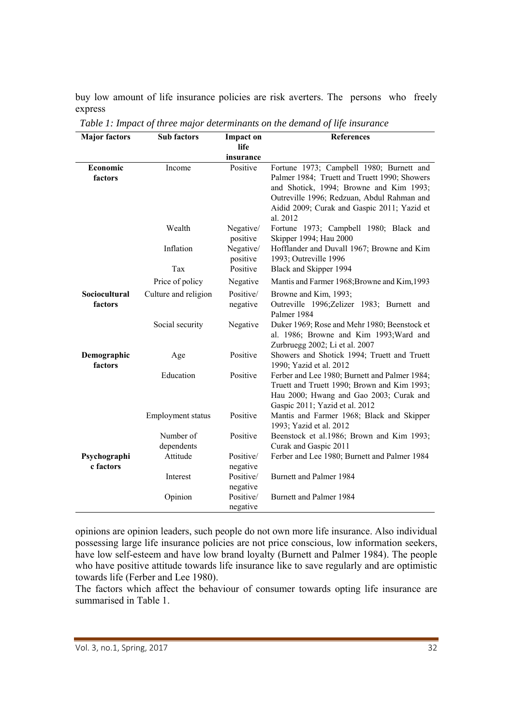buy low amount of life insurance policies are risk averters. The persons who freely express

| <b>Major factors</b>   | Sub factors          | <b>Impact on</b> | <b>References</b>                                                        |
|------------------------|----------------------|------------------|--------------------------------------------------------------------------|
|                        |                      | life             |                                                                          |
|                        |                      | insurance        |                                                                          |
| Economic               | Income               | Positive         | Fortune 1973; Campbell 1980; Burnett and                                 |
| factors                |                      |                  | Palmer 1984; Truett and Truett 1990; Showers                             |
|                        |                      |                  | and Shotick, 1994; Browne and Kim 1993;                                  |
|                        |                      |                  | Outreville 1996; Redzuan, Abdul Rahman and                               |
|                        |                      |                  | Aidid 2009; Curak and Gaspic 2011; Yazid et<br>al. 2012                  |
|                        | Wealth               | Negative/        | Fortune 1973; Campbell 1980; Black and                                   |
|                        |                      | positive         | Skipper 1994; Hau 2000                                                   |
|                        | Inflation            | Negative/        | Hofflander and Duvall 1967; Browne and Kim                               |
|                        |                      | positive         | 1993; Outreville 1996                                                    |
|                        | Tax                  | Positive         | Black and Skipper 1994                                                   |
|                        | Price of policy      | Negative         | Mantis and Farmer 1968; Browne and Kim, 1993                             |
| Sociocultural          | Culture and religion | Positive/        | Browne and Kim, 1993;                                                    |
| factors                |                      | negative         | Outreville 1996; Zelizer 1983; Burnett and                               |
|                        |                      |                  | Palmer 1984                                                              |
|                        | Social security      | Negative         | Duker 1969; Rose and Mehr 1980; Beenstock et                             |
|                        |                      |                  | al. 1986; Browne and Kim 1993; Ward and                                  |
|                        |                      |                  | Zurbruegg 2002; Li et al. 2007                                           |
| Demographic<br>factors | Age                  | Positive         | Showers and Shotick 1994; Truett and Truett                              |
|                        | Education            | Positive         | 1990; Yazid et al. 2012<br>Ferber and Lee 1980; Burnett and Palmer 1984; |
|                        |                      |                  | Truett and Truett 1990; Brown and Kim 1993;                              |
|                        |                      |                  | Hau 2000; Hwang and Gao 2003; Curak and                                  |
|                        |                      |                  | Gaspic 2011; Yazid et al. 2012                                           |
|                        | Employment status    | Positive         | Mantis and Farmer 1968; Black and Skipper                                |
|                        |                      |                  | 1993; Yazid et al. 2012                                                  |
|                        | Number of            | Positive         | Beenstock et al.1986; Brown and Kim 1993;                                |
|                        | dependents           |                  | Curak and Gaspic 2011                                                    |
| Psychographi           | Attitude             | Positive/        | Ferber and Lee 1980; Burnett and Palmer 1984                             |
| c factors              |                      | negative         |                                                                          |
|                        | Interest             | Positive/        | Burnett and Palmer 1984                                                  |
|                        |                      | negative         |                                                                          |
|                        | Opinion              | Positive/        | <b>Burnett and Palmer 1984</b>                                           |
|                        |                      | negative         |                                                                          |

*Table 1: Impact of three major determinants on the demand of life insurance*

opinions are opinion leaders, such people do not own more life insurance. Also individual possessing large life insurance policies are not price conscious, low information seekers, have low self-esteem and have low brand loyalty (Burnett and Palmer 1984). The people who have positive attitude towards life insurance like to save regularly and are optimistic towards life (Ferber and Lee 1980).

The factors which affect the behaviour of consumer towards opting life insurance are summarised in Table 1.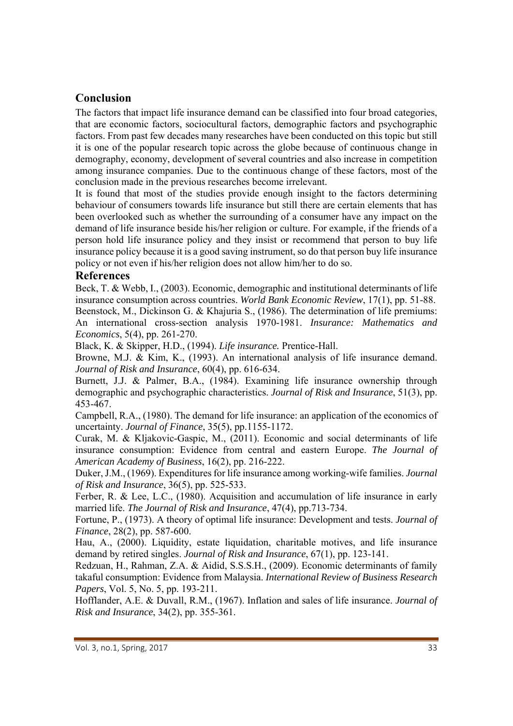# **Conclusion**

The factors that impact life insurance demand can be classified into four broad categories, that are economic factors, sociocultural factors, demographic factors and psychographic factors. From past few decades many researches have been conducted on this topic but still it is one of the popular research topic across the globe because of continuous change in demography, economy, development of several countries and also increase in competition among insurance companies. Due to the continuous change of these factors, most of the conclusion made in the previous researches become irrelevant.

It is found that most of the studies provide enough insight to the factors determining behaviour of consumers towards life insurance but still there are certain elements that has been overlooked such as whether the surrounding of a consumer have any impact on the demand of life insurance beside his/her religion or culture. For example, if the friends of a person hold life insurance policy and they insist or recommend that person to buy life insurance policy because it is a good saving instrument, so do that person buy life insurance policy or not even if his/her religion does not allow him/her to do so.

## **References**

Beck, T. & Webb, I., (2003). Economic, demographic and institutional determinants of life insurance consumption across countries. *World Bank Economic Review*, 17(1), pp. 51-88. Beenstock, M., Dickinson G. & Khajuria S., (1986). The determination of life premiums: An international cross-section analysis 1970-1981. *Insurance: Mathematics and Economics*, 5(4), pp. 261-270.

Black, K. & Skipper, H.D., (1994). *Life insurance.* Prentice-Hall.

Browne, M.J. & Kim, K., (1993). An international analysis of life insurance demand. *Journal of Risk and Insurance*, 60(4), pp. 616-634.

Burnett, J.J. & Palmer, B.A., (1984). Examining life insurance ownership through demographic and psychographic characteristics. *Journal of Risk and Insurance*, 51(3), pp. 453-467.

Campbell, R.A., (1980). The demand for life insurance: an application of the economics of uncertainty. *Journal of Finance*, 35(5), pp.1155-1172.

Curak, M. & Kljakovic-Gaspic, M., (2011). Economic and social determinants of life insurance consumption: Evidence from central and eastern Europe. *The Journal of American Academy of Business*, 16(2), pp. 216-222.

Duker, J.M., (1969). Expenditures for life insurance among working-wife families. *Journal of Risk and Insurance*, 36(5), pp. 525-533.

Ferber, R. & Lee, L.C., (1980). Acquisition and accumulation of life insurance in early married life. *The Journal of Risk and Insurance*, 47(4), pp.713-734.

Fortune, P., (1973). A theory of optimal life insurance: Development and tests. *Journal of Finance*, 28(2), pp. 587-600.

Hau, A., (2000). Liquidity, estate liquidation, charitable motives, and life insurance demand by retired singles. *Journal of Risk and Insurance*, 67(1), pp. 123-141.

Redzuan, H., Rahman, Z.A. & Aidid, S.S.S.H., (2009). Economic determinants of family takaful consumption: Evidence from Malaysia. *International Review of Business Research Papers*, Vol. 5, No. 5, pp. 193-211.

Hofflander, A.E. & Duvall, R.M., (1967). Inflation and sales of life insurance. *Journal of Risk and Insurance*, 34(2), pp. 355-361.